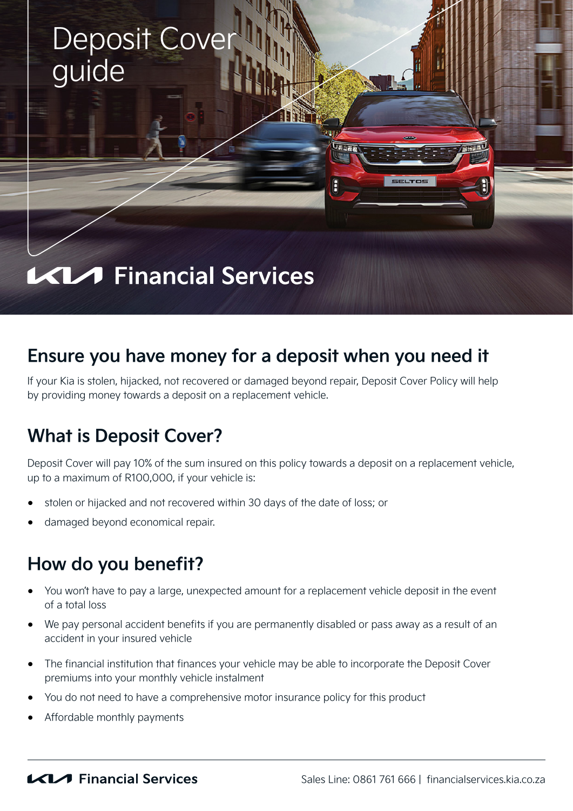

## **Ensure you have money for a deposit when you need it**

If your Kia is stolen, hijacked, not recovered or damaged beyond repair, Deposit Cover Policy will help by providing money towards a deposit on a replacement vehicle.

## **What is Deposit Cover?**

Deposit Cover will pay 10% of the sum insured on this policy towards a deposit on a replacement vehicle, up to a maximum of R100,000, if your vehicle is:

- stolen or hijacked and not recovered within 30 days of the date of loss; or
- damaged beyond economical repair.

### **How do you benefit?**

- You won't have to pay a large, unexpected amount for a replacement vehicle deposit in the event of a total loss
- We pay personal accident benefits if you are permanently disabled or pass away as a result of an accident in your insured vehicle
- The financial institution that finances your vehicle may be able to incorporate the Deposit Cover premiums into your monthly vehicle instalment
- You do not need to have a comprehensive motor insurance policy for this product
- Affordable monthly payments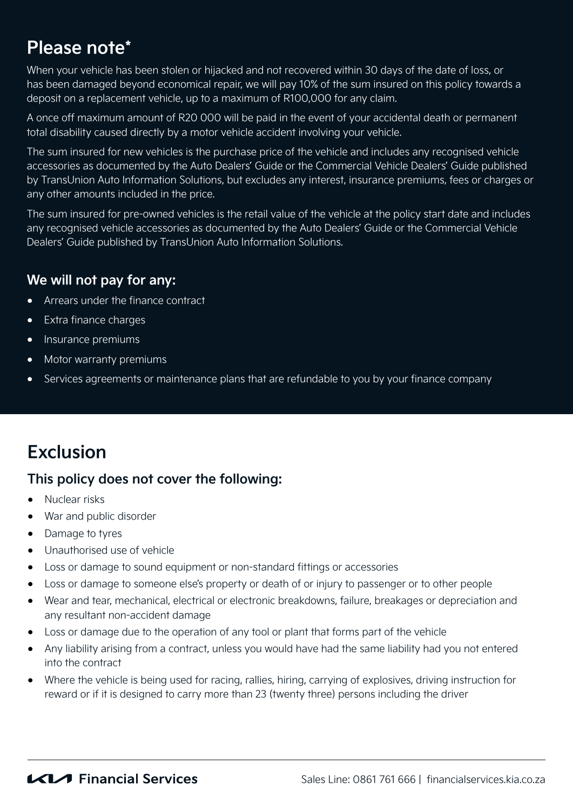## **Please note\***

When your vehicle has been stolen or hijacked and not recovered within 30 days of the date of loss, or has been damaged beyond economical repair, we will pay 10% of the sum insured on this policy towards a deposit on a replacement vehicle, up to a maximum of R100,000 for any claim.

A once off maximum amount of R20 000 will be paid in the event of your accidental death or permanent total disability caused directly by a motor vehicle accident involving your vehicle.

The sum insured for new vehicles is the purchase price of the vehicle and includes any recognised vehicle accessories as documented by the Auto Dealers' Guide or the Commercial Vehicle Dealers' Guide published by TransUnion Auto Information Solutions, but excludes any interest, insurance premiums, fees or charges or any other amounts included in the price.

The sum insured for pre-owned vehicles is the retail value of the vehicle at the policy start date and includes any recognised vehicle accessories as documented by the Auto Dealers' Guide or the Commercial Vehicle Dealers' Guide published by TransUnion Auto Information Solutions.

#### **We will not pay for any:**

- Arrears under the finance contract
- Extra finance charges
- Insurance premiums
- Motor warranty premiums
- Services agreements or maintenance plans that are refundable to you by your finance company

# **Exclusion**

#### **This policy does not cover the following:**

- Nuclear risks
- War and public disorder
- Damage to tyres
- Unauthorised use of vehicle
- Loss or damage to sound equipment or non-standard fittings or accessories
- Loss or damage to someone else's property or death of or injury to passenger or to other people
- Wear and tear, mechanical, electrical or electronic breakdowns, failure, breakages or depreciation and any resultant non-accident damage
- Loss or damage due to the operation of any tool or plant that forms part of the vehicle
- Any liability arising from a contract, unless you would have had the same liability had you not entered into the contract
- Where the vehicle is being used for racing, rallies, hiring, carrying of explosives, driving instruction for reward or if it is designed to carry more than 23 (twenty three) persons including the driver